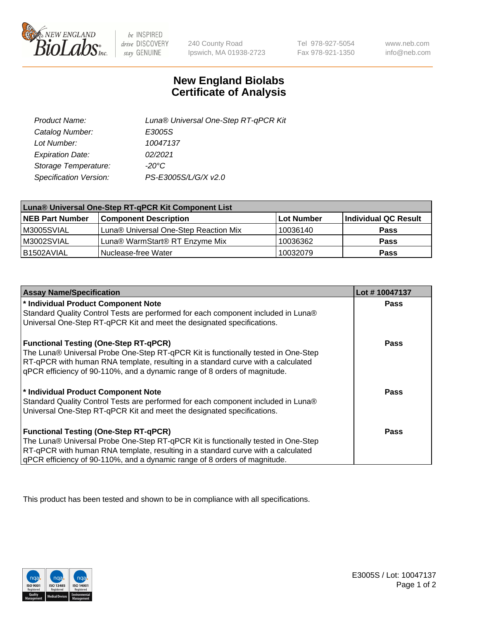

 $be$  INSPIRED drive DISCOVERY stay GENUINE

240 County Road Ipswich, MA 01938-2723

Tel 978-927-5054 Fax 978-921-1350

www.neb.com info@neb.com

## **New England Biolabs Certificate of Analysis**

| Product Name:           | Luna® Universal One-Step RT-qPCR Kit |
|-------------------------|--------------------------------------|
| Catalog Number:         | E3005S                               |
| Lot Number:             | 10047137                             |
| <b>Expiration Date:</b> | 02/2021                              |
| Storage Temperature:    | $-20^{\circ}$ C                      |
| Specification Version:  | PS-E3005S/L/G/X v2.0                 |

| Luna® Universal One-Step RT-qPCR Kit Component List |                                       |            |                      |  |
|-----------------------------------------------------|---------------------------------------|------------|----------------------|--|
| <b>NEB Part Number</b>                              | <b>Component Description</b>          | Lot Number | Individual QC Result |  |
| M3005SVIAL                                          | Luna® Universal One-Step Reaction Mix | 10036140   | <b>Pass</b>          |  |
| M3002SVIAL                                          | Luna® WarmStart® RT Enzyme Mix        | 10036362   | <b>Pass</b>          |  |
| B1502AVIAL                                          | Nuclease-free Water                   | 10032079   | <b>Pass</b>          |  |

| <b>Assay Name/Specification</b>                                                   | Lot #10047137 |
|-----------------------------------------------------------------------------------|---------------|
| * Individual Product Component Note                                               | <b>Pass</b>   |
| Standard Quality Control Tests are performed for each component included in Luna® |               |
| Universal One-Step RT-qPCR Kit and meet the designated specifications.            |               |
| <b>Functional Testing (One-Step RT-qPCR)</b>                                      | Pass          |
| The Luna® Universal Probe One-Step RT-qPCR Kit is functionally tested in One-Step |               |
| RT-qPCR with human RNA template, resulting in a standard curve with a calculated  |               |
| gPCR efficiency of 90-110%, and a dynamic range of 8 orders of magnitude.         |               |
| * Individual Product Component Note                                               | Pass          |
| Standard Quality Control Tests are performed for each component included in Luna® |               |
| Universal One-Step RT-qPCR Kit and meet the designated specifications.            |               |
| <b>Functional Testing (One-Step RT-qPCR)</b>                                      | <b>Pass</b>   |
| The Luna® Universal Probe One-Step RT-qPCR Kit is functionally tested in One-Step |               |
| RT-qPCR with human RNA template, resulting in a standard curve with a calculated  |               |
| gPCR efficiency of 90-110%, and a dynamic range of 8 orders of magnitude.         |               |

This product has been tested and shown to be in compliance with all specifications.